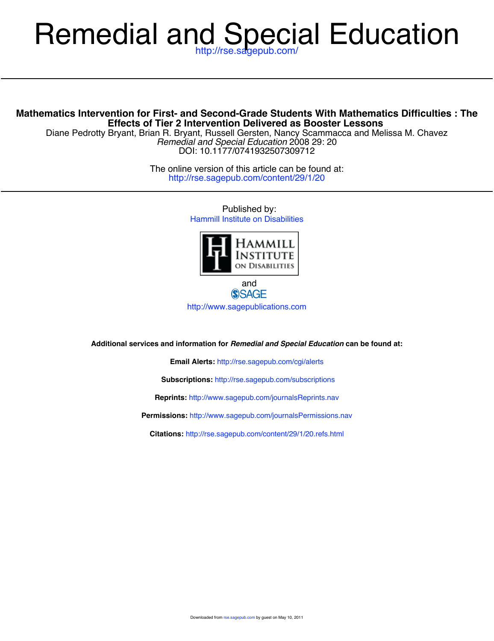# Remedial and Special Education

#### **Effects of Tier 2 Intervention Delivered as Booster Lessons Mathematics Intervention for First- and Second-Grade Students With Mathematics Difficulties : The**

DOI: 10.1177/0741932507309712 *Remedial and Special Education* 2008 29: 20 Diane Pedrotty Bryant, Brian R. Bryant, Russell Gersten, Nancy Scammacca and Melissa M. Chavez

> <http://rse.sagepub.com/content/29/1/20> The online version of this article can be found at:

> > Published by: [Hammill Institute on Disabilities](http://www.hammill-institute.org/)



## and<br>SAGE® <http://www.sagepublications.com>

**Additional services and information for** *Remedial and Special Education* **can be found at:**

**Email Alerts:** <http://rse.sagepub.com/cgi/alerts>

**Subscriptions:** <http://rse.sagepub.com/subscriptions>

**Reprints:** <http://www.sagepub.com/journalsReprints.nav>

**Permissions:** <http://www.sagepub.com/journalsPermissions.nav>

**Citations:** <http://rse.sagepub.com/content/29/1/20.refs.html>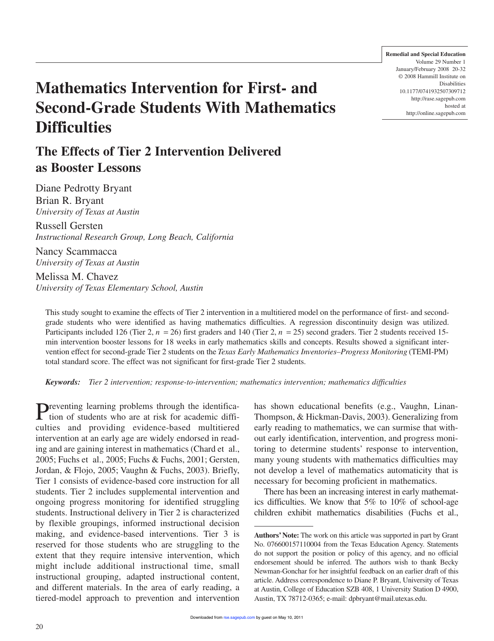**Remedial and Special Education** Volume 29 Number 1 January/February 2008 20-32 © 2008 Hammill Institute on Disabilities 10.1177/0741932507309712 http://rase.sagepub.com hosted at http://online.sagepub.com

## **Mathematics Intervention for First- and Second-Grade Students With Mathematics Difficulties**

### **The Effects of Tier 2 Intervention Delivered as Booster Lessons**

Diane Pedrotty Bryant Brian R. Bryant *University of Texas at Austin*

Russell Gersten *Instructional Research Group, Long Beach, California*

Nancy Scammacca *University of Texas at Austin*

Melissa M. Chavez *University of Texas Elementary School, Austin*

This study sought to examine the effects of Tier 2 intervention in a multitiered model on the performance of first- and secondgrade students who were identified as having mathematics difficulties. A regression discontinuity design was utilized. Participants included 126 (Tier 2,  $n = 26$ ) first graders and 140 (Tier 2,  $n = 25$ ) second graders. Tier 2 students received 15min intervention booster lessons for 18 weeks in early mathematics skills and concepts. Results showed a significant intervention effect for second-grade Tier 2 students on the *Texas Early Mathematics Inventories–Progress Monitoring* (TEMI-PM) total standard score. The effect was not significant for first-grade Tier 2 students.

*Keywords: Tier 2 intervention; response-to-intervention; mathematics intervention; mathematics difficulties*

Preventing learning problems through the identifica-<br>tion of students with tion of students who are at risk for academic difficulties and providing evidence-based multitiered intervention at an early age are widely endorsed in reading and are gaining interest in mathematics (Chard et al., 2005; Fuchs et al., 2005; Fuchs & Fuchs, 2001; Gersten, Jordan, & Flojo, 2005; Vaughn & Fuchs, 2003). Briefly, Tier 1 consists of evidence-based core instruction for all students. Tier 2 includes supplemental intervention and ongoing progress monitoring for identified struggling students. Instructional delivery in Tier 2 is characterized by flexible groupings, informed instructional decision making, and evidence-based interventions. Tier 3 is reserved for those students who are struggling to the extent that they require intensive intervention, which might include additional instructional time, small instructional grouping, adapted instructional content, and different materials. In the area of early reading, a tiered-model approach to prevention and intervention

has shown educational benefits (e.g., Vaughn, Linan-Thompson, & Hickman-Davis, 2003). Generalizing from early reading to mathematics, we can surmise that without early identification, intervention, and progress monitoring to determine students' response to intervention, many young students with mathematics difficulties may not develop a level of mathematics automaticity that is necessary for becoming proficient in mathematics.

There has been an increasing interest in early mathematics difficulties. We know that 5% to 10% of school-age children exhibit mathematics disabilities (Fuchs et al.,

**Authors' Note:** The work on this article was supported in part by Grant No. 076600157110004 from the Texas Education Agency. Statements do not support the position or policy of this agency, and no official endorsement should be inferred. The authors wish to thank Becky Newman-Gonchar for her insightful feedback on an earlier draft of this article. Address correspondence to Diane P. Bryant, University of Texas at Austin, College of Education SZB 408, 1 University Station D 4900, Austin, TX 78712-0365; e-mail: dpbryant@mail.utexas.edu.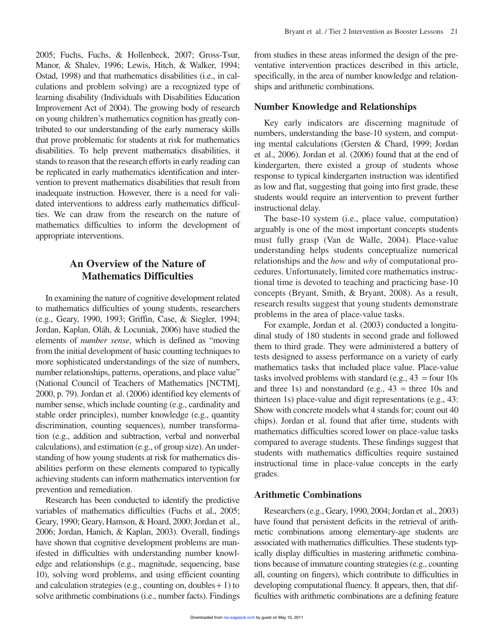2005; Fuchs, Fuchs, & Hollenbeck, 2007; Gross-Tsur, Manor, & Shalev, 1996; Lewis, Hitch, & Walker, 1994; Ostad, 1998) and that mathematics disabilities (i.e., in calculations and problem solving) are a recognized type of learning disability (Individuals with Disabilities Education Improvement Act of 2004). The growing body of research on young children's mathematics cognition has greatly contributed to our understanding of the early numeracy skills that prove problematic for students at risk for mathematics disabilities. To help prevent mathematics disabilities, it stands to reason that the research efforts in early reading can be replicated in early mathematics identification and intervention to prevent mathematics disabilities that result from inadequate instruction. However, there is a need for validated interventions to address early mathematics difficulties. We can draw from the research on the nature of mathematics difficulties to inform the development of appropriate interventions.

#### **An Overview of the Nature of Mathematics Difficulties**

In examining the nature of cognitive development related to mathematics difficulties of young students, researchers (e.g., Geary, 1990, 1993; Griffin, Case, & Siegler, 1994; Jordan, Kaplan, Oláh, & Locuniak, 2006) have studied the elements of *number sense*, which is defined as "moving from the initial development of basic counting techniques to more sophisticated understandings of the size of numbers, number relationships, patterns, operations, and place value" (National Council of Teachers of Mathematics [NCTM], 2000, p. 79). Jordan et al. (2006) identified key elements of number sense, which include counting (e.g., cardinality and stable order principles), number knowledge (e.g., quantity discrimination, counting sequences), number transformation (e.g., addition and subtraction, verbal and nonverbal calculations), and estimation (e.g., of group size). An understanding of how young students at risk for mathematics disabilities perform on these elements compared to typically achieving students can inform mathematics intervention for prevention and remediation.

Research has been conducted to identify the predictive variables of mathematics difficulties (Fuchs et al., 2005; Geary, 1990; Geary, Hamson, & Hoard, 2000; Jordan et al., 2006; Jordan, Hanich, & Kaplan, 2003). Overall, findings have shown that cognitive development problems are manifested in difficulties with understanding number knowledge and relationships (e.g., magnitude, sequencing, base 10), solving word problems, and using efficient counting and calculation strategies (e.g., counting on, doubles  $+1$ ) to solve arithmetic combinations (i.e., number facts). Findings

from studies in these areas informed the design of the preventative intervention practices described in this article, specifically, in the area of number knowledge and relationships and arithmetic combinations.

#### **Number Knowledge and Relationships**

Key early indicators are discerning magnitude of numbers, understanding the base-10 system, and computing mental calculations (Gersten & Chard, 1999; Jordan et al., 2006). Jordan et al. (2006) found that at the end of kindergarten, there existed a group of students whose response to typical kindergarten instruction was identified as low and flat, suggesting that going into first grade, these students would require an intervention to prevent further instructional delay.

The base-10 system (i.e., place value, computation) arguably is one of the most important concepts students must fully grasp (Van de Walle, 2004). Place-value understanding helps students conceptualize numerical relationships and the *how* and *why* of computational procedures. Unfortunately, limited core mathematics instructional time is devoted to teaching and practicing base-10 concepts (Bryant, Smith, & Bryant, 2008). As a result, research results suggest that young students demonstrate problems in the area of place-value tasks.

For example, Jordan et al. (2003) conducted a longitudinal study of 180 students in second grade and followed them to third grade. They were administered a battery of tests designed to assess performance on a variety of early mathematics tasks that included place value. Place-value tasks involved problems with standard (e.g.,  $43 =$  four 10s and three 1s) and nonstandard (e.g.,  $43$  = three 10s and thirteen 1s) place-value and digit representations (e.g., 43: Show with concrete models what 4 stands for; count out 40 chips). Jordan et al. found that after time, students with mathematics difficulties scored lower on place-value tasks compared to average students. These findings suggest that students with mathematics difficulties require sustained instructional time in place-value concepts in the early grades.

#### **Arithmetic Combinations**

Researchers (e.g., Geary, 1990, 2004; Jordan et al., 2003) have found that persistent deficits in the retrieval of arithmetic combinations among elementary-age students are associated with mathematics difficulties. These students typically display difficulties in mastering arithmetic combinations because of immature counting strategies (e.g., counting all, counting on fingers), which contribute to difficulties in developing computational fluency. It appears, then, that difficulties with arithmetic combinations are a defining feature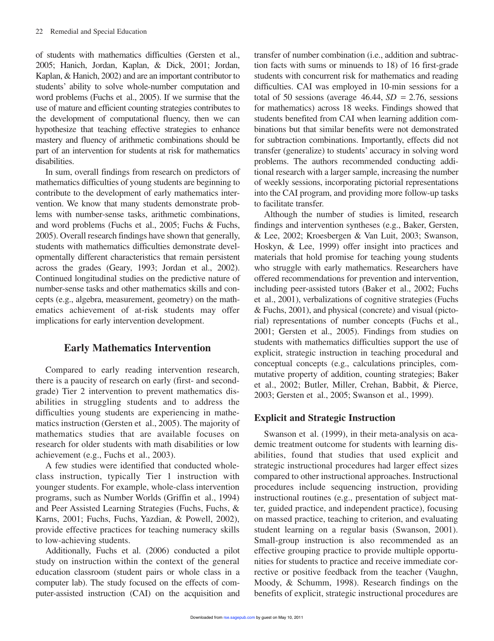of students with mathematics difficulties (Gersten et al., 2005; Hanich, Jordan, Kaplan, & Dick, 2001; Jordan, Kaplan, & Hanich, 2002) and are an important contributor to students' ability to solve whole-number computation and word problems (Fuchs et al., 2005). If we surmise that the use of mature and efficient counting strategies contributes to the development of computational fluency, then we can hypothesize that teaching effective strategies to enhance mastery and fluency of arithmetic combinations should be part of an intervention for students at risk for mathematics disabilities.

In sum, overall findings from research on predictors of mathematics difficulties of young students are beginning to contribute to the development of early mathematics intervention. We know that many students demonstrate problems with number-sense tasks, arithmetic combinations, and word problems (Fuchs et al., 2005; Fuchs & Fuchs, 2005). Overall research findings have shown that generally, students with mathematics difficulties demonstrate developmentally different characteristics that remain persistent across the grades (Geary, 1993; Jordan et al., 2002). Continued longitudinal studies on the predictive nature of number-sense tasks and other mathematics skills and concepts (e.g., algebra, measurement, geometry) on the mathematics achievement of at-risk students may offer implications for early intervention development.

#### **Early Mathematics Intervention**

Compared to early reading intervention research, there is a paucity of research on early (first- and secondgrade) Tier 2 intervention to prevent mathematics disabilities in struggling students and to address the difficulties young students are experiencing in mathematics instruction (Gersten et al., 2005). The majority of mathematics studies that are available focuses on research for older students with math disabilities or low achievement (e.g., Fuchs et al., 2003).

A few studies were identified that conducted wholeclass instruction, typically Tier 1 instruction with younger students. For example, whole-class intervention programs, such as Number Worlds (Griffin et al., 1994) and Peer Assisted Learning Strategies (Fuchs, Fuchs, & Karns, 2001; Fuchs, Fuchs, Yazdian, & Powell, 2002), provide effective practices for teaching numeracy skills to low-achieving students.

Additionally, Fuchs et al. (2006) conducted a pilot study on instruction within the context of the general education classroom (student pairs or whole class in a computer lab). The study focused on the effects of computer-assisted instruction (CAI) on the acquisition and transfer of number combination (i.e., addition and subtraction facts with sums or minuends to 18) of 16 first-grade students with concurrent risk for mathematics and reading difficulties. CAI was employed in 10-min sessions for a total of 50 sessions (average  $46.44$ ,  $SD = 2.76$ , sessions for mathematics) across 18 weeks. Findings showed that students benefited from CAI when learning addition combinations but that similar benefits were not demonstrated for subtraction combinations. Importantly, effects did not transfer (generalize) to students' accuracy in solving word problems. The authors recommended conducting additional research with a larger sample, increasing the number of weekly sessions, incorporating pictorial representations into the CAI program, and providing more follow-up tasks to facilitate transfer.

Although the number of studies is limited, research findings and intervention syntheses (e.g., Baker, Gersten, & Lee, 2002; Kroesbergen & Van Luit, 2003; Swanson, Hoskyn, & Lee, 1999) offer insight into practices and materials that hold promise for teaching young students who struggle with early mathematics. Researchers have offered recommendations for prevention and intervention, including peer-assisted tutors (Baker et al., 2002; Fuchs et al., 2001), verbalizations of cognitive strategies (Fuchs & Fuchs, 2001), and physical (concrete) and visual (pictorial) representations of number concepts (Fuchs et al., 2001; Gersten et al., 2005). Findings from studies on students with mathematics difficulties support the use of explicit, strategic instruction in teaching procedural and conceptual concepts (e.g., calculations principles, commutative property of addition, counting strategies; Baker et al., 2002; Butler, Miller, Crehan, Babbit, & Pierce, 2003; Gersten et al., 2005; Swanson et al., 1999).

#### **Explicit and Strategic Instruction**

Swanson et al. (1999), in their meta-analysis on academic treatment outcome for students with learning disabilities, found that studies that used explicit and strategic instructional procedures had larger effect sizes compared to other instructional approaches. Instructional procedures include sequencing instruction, providing instructional routines (e.g., presentation of subject matter, guided practice, and independent practice), focusing on massed practice, teaching to criterion, and evaluating student learning on a regular basis (Swanson, 2001). Small-group instruction is also recommended as an effective grouping practice to provide multiple opportunities for students to practice and receive immediate corrective or positive feedback from the teacher (Vaughn, Moody, & Schumm, 1998). Research findings on the benefits of explicit, strategic instructional procedures are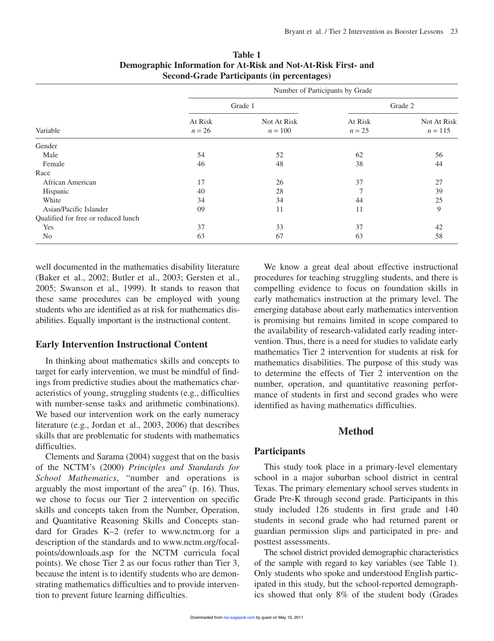| Variable                            | Number of Participants by Grade |                          |                     |                          |
|-------------------------------------|---------------------------------|--------------------------|---------------------|--------------------------|
|                                     | Grade 1                         |                          | Grade 2             |                          |
|                                     | At Risk<br>$n = 26$             | Not At Risk<br>$n = 100$ | At Risk<br>$n = 25$ | Not At Risk<br>$n = 115$ |
| Gender                              |                                 |                          |                     |                          |
| Male                                | 54                              | 52                       | 62                  | 56                       |
| Female                              | 46                              | 48                       | 38                  | 44                       |
| Race                                |                                 |                          |                     |                          |
| African American                    | 17                              | 26                       | 37                  | 27                       |
| Hispanic                            | 40                              | 28                       |                     | 39                       |
| White                               | 34                              | 34                       | 44                  | 25                       |
| Asian/Pacific Islander              | 09                              | 11                       | 11                  | 9                        |
| Qualified for free or reduced lunch |                                 |                          |                     |                          |
| Yes                                 | 37                              | 33                       | 37                  | 42                       |
| N <sub>0</sub>                      | 63                              | 67                       | 63                  | 58                       |

**Table 1 Demographic Information for At-Risk and Not-At-Risk First- and Second-Grade Participants (in percentages)**

well documented in the mathematics disability literature (Baker et al., 2002; Butler et al., 2003; Gersten et al., 2005; Swanson et al., 1999). It stands to reason that these same procedures can be employed with young students who are identified as at risk for mathematics disabilities. Equally important is the instructional content.

#### **Early Intervention Instructional Content**

In thinking about mathematics skills and concepts to target for early intervention, we must be mindful of findings from predictive studies about the mathematics characteristics of young, struggling students (e.g., difficulties with number-sense tasks and arithmetic combinations). We based our intervention work on the early numeracy literature (e.g., Jordan et al., 2003, 2006) that describes skills that are problematic for students with mathematics difficulties.

Clements and Sarama (2004) suggest that on the basis of the NCTM's (2000) *Principles and Standards for School Mathematics*, "number and operations is arguably the most important of the area" (p. 16). Thus, we chose to focus our Tier 2 intervention on specific skills and concepts taken from the Number, Operation, and Quantitative Reasoning Skills and Concepts standard for Grades K–2 (refer to www.nctm.org for a description of the standards and to www.nctm.org/focalpoints/downloads.asp for the NCTM curricula focal points). We chose Tier 2 as our focus rather than Tier 3, because the intent is to identify students who are demonstrating mathematics difficulties and to provide intervention to prevent future learning difficulties.

We know a great deal about effective instructional procedures for teaching struggling students, and there is compelling evidence to focus on foundation skills in early mathematics instruction at the primary level. The emerging database about early mathematics intervention is promising but remains limited in scope compared to the availability of research-validated early reading intervention. Thus, there is a need for studies to validate early mathematics Tier 2 intervention for students at risk for mathematics disabilities. The purpose of this study was to determine the effects of Tier 2 intervention on the number, operation, and quantitative reasoning performance of students in first and second grades who were identified as having mathematics difficulties.

#### **Method**

#### **Participants**

This study took place in a primary-level elementary school in a major suburban school district in central Texas. The primary elementary school serves students in Grade Pre-K through second grade. Participants in this study included 126 students in first grade and 140 students in second grade who had returned parent or guardian permission slips and participated in pre- and posttest assessments.

The school district provided demographic characteristics of the sample with regard to key variables (see Table 1). Only students who spoke and understood English participated in this study, but the school-reported demographics showed that only 8% of the student body (Grades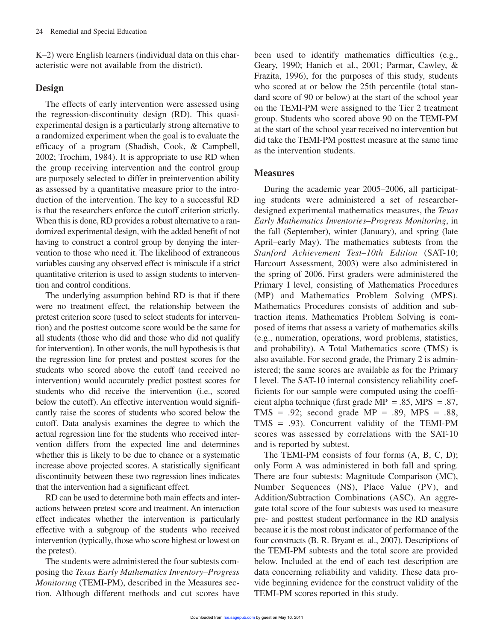K–2) were English learners (individual data on this characteristic were not available from the district).

#### **Design**

The effects of early intervention were assessed using the regression-discontinuity design (RD). This quasiexperimental design is a particularly strong alternative to a randomized experiment when the goal is to evaluate the efficacy of a program (Shadish, Cook, & Campbell, 2002; Trochim, 1984). It is appropriate to use RD when the group receiving intervention and the control group are purposely selected to differ in preintervention ability as assessed by a quantitative measure prior to the introduction of the intervention. The key to a successful RD is that the researchers enforce the cutoff criterion strictly. When this is done, RD provides a robust alternative to a randomized experimental design, with the added benefit of not having to construct a control group by denying the intervention to those who need it. The likelihood of extraneous variables causing any observed effect is miniscule if a strict quantitative criterion is used to assign students to intervention and control conditions.

The underlying assumption behind RD is that if there were no treatment effect, the relationship between the pretest criterion score (used to select students for intervention) and the posttest outcome score would be the same for all students (those who did and those who did not qualify for intervention). In other words, the null hypothesis is that the regression line for pretest and posttest scores for the students who scored above the cutoff (and received no intervention) would accurately predict posttest scores for students who did receive the intervention (i.e., scored below the cutoff). An effective intervention would significantly raise the scores of students who scored below the cutoff. Data analysis examines the degree to which the actual regression line for the students who received intervention differs from the expected line and determines whether this is likely to be due to chance or a systematic increase above projected scores. A statistically significant discontinuity between these two regression lines indicates that the intervention had a significant effect.

RD can be used to determine both main effects and interactions between pretest score and treatment. An interaction effect indicates whether the intervention is particularly effective with a subgroup of the students who received intervention (typically, those who score highest or lowest on the pretest).

The students were administered the four subtests composing the *Texas Early Mathematics Inventory–Progress Monitoring* (TEMI-PM), described in the Measures section. Although different methods and cut scores have been used to identify mathematics difficulties (e.g., Geary, 1990; Hanich et al., 2001; Parmar, Cawley, & Frazita, 1996), for the purposes of this study, students who scored at or below the 25th percentile (total standard score of 90 or below) at the start of the school year on the TEMI-PM were assigned to the Tier 2 treatment group. Students who scored above 90 on the TEMI-PM at the start of the school year received no intervention but did take the TEMI-PM posttest measure at the same time as the intervention students.

#### **Measures**

During the academic year 2005–2006, all participating students were administered a set of researcherdesigned experimental mathematics measures, the *Texas Early Mathematics Inventories–Progress Monitoring*, in the fall (September), winter (January), and spring (late April–early May). The mathematics subtests from the *Stanford Achievement Test–10th Edition* (SAT-10; Harcourt Assessment, 2003) were also administered in the spring of 2006. First graders were administered the Primary I level, consisting of Mathematics Procedures (MP) and Mathematics Problem Solving (MPS). Mathematics Procedures consists of addition and subtraction items. Mathematics Problem Solving is composed of items that assess a variety of mathematics skills (e.g., numeration, operations, word problems, statistics, and probability). A Total Mathematics score (TMS) is also available. For second grade, the Primary 2 is administered; the same scores are available as for the Primary I level. The SAT-10 internal consistency reliability coefficients for our sample were computed using the coefficient alpha technique (first grade  $MP = .85$ , MPS = .87, TMS =  $.92$ ; second grade MP =  $.89$ , MPS =  $.88$ , TMS = .93). Concurrent validity of the TEMI-PM scores was assessed by correlations with the SAT-10 and is reported by subtest.

The TEMI-PM consists of four forms (A, B, C, D); only Form A was administered in both fall and spring. There are four subtests: Magnitude Comparison (MC), Number Sequences (NS), Place Value (PV), and Addition/Subtraction Combinations (ASC). An aggregate total score of the four subtests was used to measure pre- and posttest student performance in the RD analysis because it is the most robust indicator of performance of the four constructs (B. R. Bryant et al., 2007). Descriptions of the TEMI-PM subtests and the total score are provided below. Included at the end of each test description are data concerning reliability and validity. These data provide beginning evidence for the construct validity of the TEMI-PM scores reported in this study.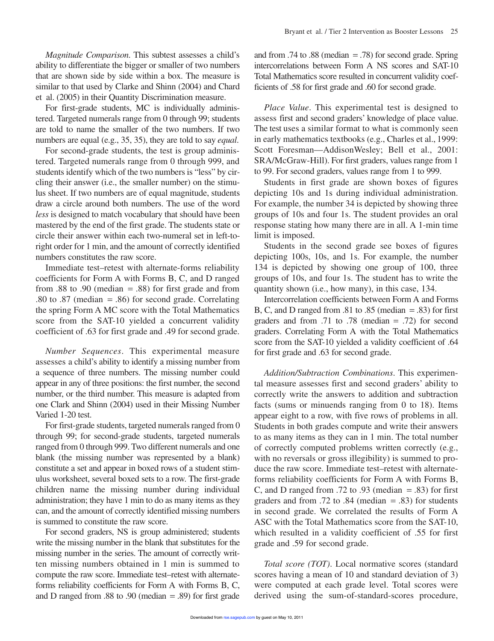*Magnitude Comparison*. This subtest assesses a child's ability to differentiate the bigger or smaller of two numbers that are shown side by side within a box. The measure is similar to that used by Clarke and Shinn (2004) and Chard et al. (2005) in their Quantity Discrimination measure.

For first-grade students, MC is individually administered. Targeted numerals range from 0 through 99; students are told to name the smaller of the two numbers. If two numbers are equal (e.g., 35, 35), they are told to say *equal*.

For second-grade students, the test is group administered. Targeted numerals range from 0 through 999, and students identify which of the two numbers is "less" by circling their answer (i.e., the smaller number) on the stimulus sheet. If two numbers are of equal magnitude, students draw a circle around both numbers. The use of the word *less* is designed to match vocabulary that should have been mastered by the end of the first grade. The students state or circle their answer within each two-numeral set in left-toright order for 1 min, and the amount of correctly identified numbers constitutes the raw score.

Immediate test–retest with alternate-forms reliability coefficients for Form A with Forms B, C, and D ranged from .88 to .90 (median  $=$  .88) for first grade and from .80 to .87 (median  $=$  .86) for second grade. Correlating the spring Form A MC score with the Total Mathematics score from the SAT-10 yielded a concurrent validity coefficient of .63 for first grade and .49 for second grade.

*Number Sequences*. This experimental measure assesses a child's ability to identify a missing number from a sequence of three numbers. The missing number could appear in any of three positions: the first number, the second number, or the third number. This measure is adapted from one Clark and Shinn (2004) used in their Missing Number Varied 1-20 test.

For first-grade students, targeted numerals ranged from 0 through 99; for second-grade students, targeted numerals ranged from 0 through 999. Two different numerals and one blank (the missing number was represented by a blank) constitute a set and appear in boxed rows of a student stimulus worksheet, several boxed sets to a row. The first-grade children name the missing number during individual administration; they have 1 min to do as many items as they can, and the amount of correctly identified missing numbers is summed to constitute the raw score.

For second graders, NS is group administered; students write the missing number in the blank that substitutes for the missing number in the series. The amount of correctly written missing numbers obtained in 1 min is summed to compute the raw score. Immediate test–retest with alternateforms reliability coefficients for Form A with Forms B, C, and D ranged from .88 to .90 (median  $=$  .89) for first grade

and from .74 to .88 (median  $=$  .78) for second grade. Spring intercorrelations between Form A NS scores and SAT-10 Total Mathematics score resulted in concurrent validity coefficients of .58 for first grade and .60 for second grade.

*Place Value*. This experimental test is designed to assess first and second graders' knowledge of place value. The test uses a similar format to what is commonly seen in early mathematics textbooks (e.g., Charles et al., 1999: Scott Foresman—AddisonWesley; Bell et al., 2001: SRA/McGraw-Hill). For first graders, values range from 1 to 99. For second graders, values range from 1 to 999.

Students in first grade are shown boxes of figures depicting 10s and 1s during individual administration. For example, the number 34 is depicted by showing three groups of 10s and four 1s. The student provides an oral response stating how many there are in all. A 1-min time limit is imposed.

Students in the second grade see boxes of figures depicting 100s, 10s, and 1s. For example, the number 134 is depicted by showing one group of 100, three groups of 10s, and four 1s. The student has to write the quantity shown (i.e., how many), in this case, 134.

Intercorrelation coefficients between Form A and Forms B, C, and D ranged from .81 to .85 (median = .83) for first graders and from  $.71$  to  $.78$  (median =  $.72$ ) for second graders. Correlating Form A with the Total Mathematics score from the SAT-10 yielded a validity coefficient of .64 for first grade and .63 for second grade.

*Addition/Subtraction Combinations*. This experimental measure assesses first and second graders' ability to correctly write the answers to addition and subtraction facts (sums or minuends ranging from 0 to 18). Items appear eight to a row, with five rows of problems in all. Students in both grades compute and write their answers to as many items as they can in 1 min. The total number of correctly computed problems written correctly (e.g., with no reversals or gross illegibility) is summed to produce the raw score. Immediate test–retest with alternateforms reliability coefficients for Form A with Forms B, C, and D ranged from .72 to .93 (median  $= .83$ ) for first graders and from .72 to .84 (median  $= .83$ ) for students in second grade. We correlated the results of Form A ASC with the Total Mathematics score from the SAT-10, which resulted in a validity coefficient of .55 for first grade and .59 for second grade.

*Total score (TOT)*. Local normative scores (standard scores having a mean of 10 and standard deviation of 3) were computed at each grade level. Total scores were derived using the sum-of-standard-scores procedure,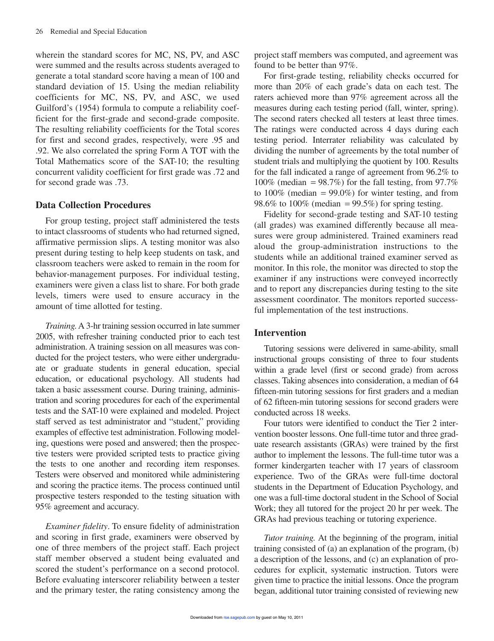wherein the standard scores for MC, NS, PV, and ASC were summed and the results across students averaged to generate a total standard score having a mean of 100 and standard deviation of 15. Using the median reliability coefficients for MC, NS, PV, and ASC, we used Guilford's (1954) formula to compute a reliability coefficient for the first-grade and second-grade composite. The resulting reliability coefficients for the Total scores for first and second grades, respectively, were .95 and .92. We also correlated the spring Form A TOT with the Total Mathematics score of the SAT-10; the resulting concurrent validity coefficient for first grade was .72 and for second grade was .73.

#### **Data Collection Procedures**

For group testing, project staff administered the tests to intact classrooms of students who had returned signed, affirmative permission slips. A testing monitor was also present during testing to help keep students on task, and classroom teachers were asked to remain in the room for behavior-management purposes. For individual testing, examiners were given a class list to share. For both grade levels, timers were used to ensure accuracy in the amount of time allotted for testing.

*Training.*A 3-hr training session occurred in late summer 2005, with refresher training conducted prior to each test administration. A training session on all measures was conducted for the project testers, who were either undergraduate or graduate students in general education, special education, or educational psychology. All students had taken a basic assessment course. During training, administration and scoring procedures for each of the experimental tests and the SAT-10 were explained and modeled. Project staff served as test administrator and "student," providing examples of effective test administration. Following modeling, questions were posed and answered; then the prospective testers were provided scripted tests to practice giving the tests to one another and recording item responses. Testers were observed and monitored while administering and scoring the practice items. The process continued until prospective testers responded to the testing situation with 95% agreement and accuracy.

*Examiner fidelity*. To ensure fidelity of administration and scoring in first grade, examiners were observed by one of three members of the project staff. Each project staff member observed a student being evaluated and scored the student's performance on a second protocol. Before evaluating interscorer reliability between a tester and the primary tester, the rating consistency among the project staff members was computed, and agreement was found to be better than 97%.

For first-grade testing, reliability checks occurred for more than 20% of each grade's data on each test. The raters achieved more than 97% agreement across all the measures during each testing period (fall, winter, spring). The second raters checked all testers at least three times. The ratings were conducted across 4 days during each testing period. Interrater reliability was calculated by dividing the number of agreements by the total number of student trials and multiplying the quotient by 100. Results for the fall indicated a range of agreement from 96.2% to 100% (median =  $98.7\%$ ) for the fall testing, from  $97.7\%$ to  $100\%$  (median = 99.0%) for winter testing, and from 98.6% to 100% (median = 99.5%) for spring testing.

Fidelity for second-grade testing and SAT-10 testing (all grades) was examined differently because all measures were group administered. Trained examiners read aloud the group-administration instructions to the students while an additional trained examiner served as monitor. In this role, the monitor was directed to stop the examiner if any instructions were conveyed incorrectly and to report any discrepancies during testing to the site assessment coordinator. The monitors reported successful implementation of the test instructions.

#### **Intervention**

Tutoring sessions were delivered in same-ability, small instructional groups consisting of three to four students within a grade level (first or second grade) from across classes. Taking absences into consideration, a median of 64 fifteen-min tutoring sessions for first graders and a median of 62 fifteen-min tutoring sessions for second graders were conducted across 18 weeks.

Four tutors were identified to conduct the Tier 2 intervention booster lessons. One full-time tutor and three graduate research assistants (GRAs) were trained by the first author to implement the lessons. The full-time tutor was a former kindergarten teacher with 17 years of classroom experience. Two of the GRAs were full-time doctoral students in the Department of Education Psychology, and one was a full-time doctoral student in the School of Social Work; they all tutored for the project 20 hr per week. The GRAs had previous teaching or tutoring experience.

*Tutor training.* At the beginning of the program, initial training consisted of (a) an explanation of the program, (b) a description of the lessons, and (c) an explanation of procedures for explicit, systematic instruction. Tutors were given time to practice the initial lessons. Once the program began, additional tutor training consisted of reviewing new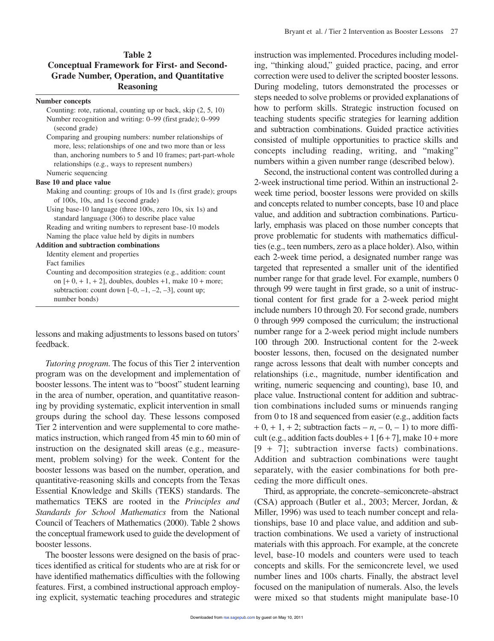#### **Table 2 Conceptual Framework for First- and Second-Grade Number, Operation, and Quantitative Reasoning**

#### **Number concepts**

- Counting: rote, rational, counting up or back, skip (2, 5, 10) Number recognition and writing: 0–99 (first grade); 0–999 (second grade)
- Comparing and grouping numbers: number relationships of more, less; relationships of one and two more than or less than, anchoring numbers to 5 and 10 frames; part-part-whole relationships (e.g., ways to represent numbers)

#### Numeric sequencing **Base 10 and place value**

Making and counting: groups of 10s and 1s (first grade); groups of 100s, 10s, and 1s (second grade)

Using base-10 language (three 100s, zero 10s, six 1s) and standard language (306) to describe place value

Reading and writing numbers to represent base-10 models Naming the place value held by digits in numbers

#### **Addition and subtraction combinations**

Identity element and properties

Fact families

Counting and decomposition strategies (e.g., addition: count on  $[+ 0, + 1, + 2]$ , doubles, doubles  $+1$ , make  $10 +$  more; subtraction: count down  $[-0, -1, -2, -3]$ , count up; number bonds)

lessons and making adjustments to lessons based on tutors' feedback.

*Tutoring program*. The focus of this Tier 2 intervention program was on the development and implementation of booster lessons. The intent was to "boost" student learning in the area of number, operation, and quantitative reasoning by providing systematic, explicit intervention in small groups during the school day. These lessons composed Tier 2 intervention and were supplemental to core mathematics instruction, which ranged from 45 min to 60 min of instruction on the designated skill areas (e.g., measurement, problem solving) for the week. Content for the booster lessons was based on the number, operation, and quantitative-reasoning skills and concepts from the Texas Essential Knowledge and Skills (TEKS) standards. The mathematics TEKS are rooted in the *Principles and Standards for School Mathematics* from the National Council of Teachers of Mathematics (2000). Table 2 shows the conceptual framework used to guide the development of booster lessons.

The booster lessons were designed on the basis of practices identified as critical for students who are at risk for or have identified mathematics difficulties with the following features. First, a combined instructional approach employing explicit, systematic teaching procedures and strategic

instruction was implemented. Procedures including modeling, "thinking aloud," guided practice, pacing, and error correction were used to deliver the scripted booster lessons. During modeling, tutors demonstrated the processes or steps needed to solve problems or provided explanations of how to perform skills. Strategic instruction focused on teaching students specific strategies for learning addition and subtraction combinations. Guided practice activities consisted of multiple opportunities to practice skills and concepts including reading, writing, and "making" numbers within a given number range (described below).

Second, the instructional content was controlled during a 2-week instructional time period. Within an instructional 2 week time period, booster lessons were provided on skills and concepts related to number concepts, base 10 and place value, and addition and subtraction combinations. Particularly, emphasis was placed on those number concepts that prove problematic for students with mathematics difficulties (e.g., teen numbers, zero as a place holder). Also, within each 2-week time period, a designated number range was targeted that represented a smaller unit of the identified number range for that grade level. For example, numbers 0 through 99 were taught in first grade, so a unit of instructional content for first grade for a 2-week period might include numbers 10 through 20. For second grade, numbers 0 through 999 composed the curriculum; the instructional number range for a 2-week period might include numbers 100 through 200. Instructional content for the 2-week booster lessons, then, focused on the designated number range across lessons that dealt with number concepts and relationships (i.e., magnitude, number identification and writing, numeric sequencing and counting), base 10, and place value. Instructional content for addition and subtraction combinations included sums or minuends ranging from 0 to 18 and sequenced from easier (e.g., addition facts  $+ 0$ ,  $+ 1$ ,  $+ 2$ ; subtraction facts  $- n$ ,  $- 0$ ,  $- 1$ ) to more difficult (e.g., addition facts doubles  $+ 1$  [6 + 7], make 10 + more [9 + 7]; subtraction inverse facts) combinations. Addition and subtraction combinations were taught separately, with the easier combinations for both preceding the more difficult ones.

Third, as appropriate, the concrete–semiconcrete–abstract (CSA) approach (Butler et al., 2003; Mercer, Jordan, & Miller, 1996) was used to teach number concept and relationships, base 10 and place value, and addition and subtraction combinations. We used a variety of instructional materials with this approach. For example, at the concrete level, base-10 models and counters were used to teach concepts and skills. For the semiconcrete level, we used number lines and 100s charts. Finally, the abstract level focused on the manipulation of numerals. Also, the levels were mixed so that students might manipulate base-10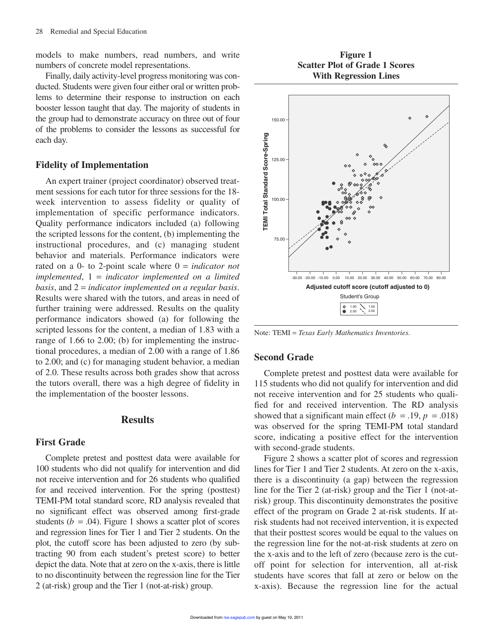models to make numbers, read numbers, and write numbers of concrete model representations.

Finally, daily activity-level progress monitoring was conducted. Students were given four either oral or written problems to determine their response to instruction on each booster lesson taught that day. The majority of students in the group had to demonstrate accuracy on three out of four of the problems to consider the lessons as successful for each day.

#### **Fidelity of Implementation**

An expert trainer (project coordinator) observed treatment sessions for each tutor for three sessions for the 18 week intervention to assess fidelity or quality of implementation of specific performance indicators. Quality performance indicators included (a) following the scripted lessons for the content, (b) implementing the instructional procedures, and (c) managing student behavior and materials. Performance indicators were rated on a 0- to 2-point scale where 0 = *indicator not implemented*, 1 = *indicator implemented on a limited basis*, and 2 = *indicator implemented on a regular basis*. Results were shared with the tutors, and areas in need of further training were addressed. Results on the quality performance indicators showed (a) for following the scripted lessons for the content, a median of 1.83 with a range of 1.66 to 2.00; (b) for implementing the instructional procedures, a median of 2.00 with a range of 1.86 to 2.00; and (c) for managing student behavior, a median of 2.0. These results across both grades show that across the tutors overall, there was a high degree of fidelity in the implementation of the booster lessons.

#### **Results**

#### **First Grade**

Complete pretest and posttest data were available for 100 students who did not qualify for intervention and did not receive intervention and for 26 students who qualified for and received intervention. For the spring (posttest) TEMI-PM total standard score, RD analysis revealed that no significant effect was observed among first-grade students ( $b = .04$ ). Figure 1 shows a scatter plot of scores and regression lines for Tier 1 and Tier 2 students. On the plot, the cutoff score has been adjusted to zero (by subtracting 90 from each student's pretest score) to better depict the data. Note that at zero on the x-axis, there is little to no discontinuity between the regression line for the Tier 2 (at-risk) group and the Tier 1 (not-at-risk) group.

#### **Figure 1 Scatter Plot of Grade 1 Scores With Regression Lines**



Note: TEMI = *Texas Early Mathematics Inventories*.

#### **Second Grade**

Complete pretest and posttest data were available for 115 students who did not qualify for intervention and did not receive intervention and for 25 students who qualified for and received intervention. The RD analysis showed that a significant main effect  $(b = .19, p = .018)$ was observed for the spring TEMI-PM total standard score, indicating a positive effect for the intervention with second-grade students.

Figure 2 shows a scatter plot of scores and regression lines for Tier 1 and Tier 2 students. At zero on the x-axis, there is a discontinuity (a gap) between the regression line for the Tier 2 (at-risk) group and the Tier 1 (not-atrisk) group. This discontinuity demonstrates the positive effect of the program on Grade 2 at-risk students. If atrisk students had not received intervention, it is expected that their posttest scores would be equal to the values on the regression line for the not-at-risk students at zero on the x-axis and to the left of zero (because zero is the cutoff point for selection for intervention, all at-risk students have scores that fall at zero or below on the x-axis). Because the regression line for the actual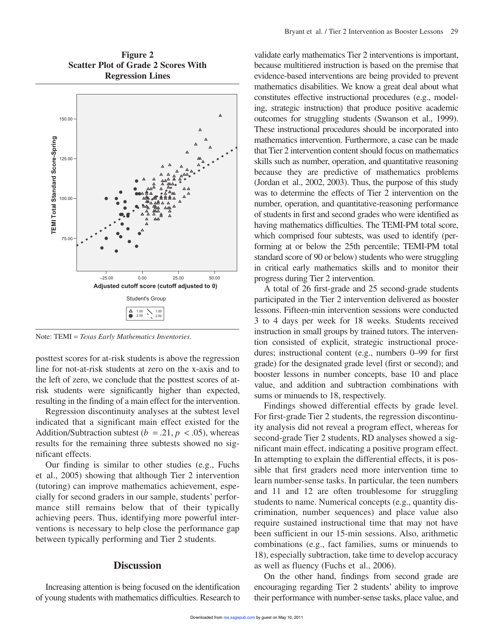**Figure 2 Scatter Plot of Grade 2 Scores With Regression Lines**



Note: TEMI = *Texas Early Mathematics Inventories*.

posttest scores for at-risk students is above the regression line for not-at-risk students at zero on the x-axis and to the left of zero, we conclude that the posttest scores of atrisk students were significantly higher than expected, resulting in the finding of a main effect for the intervention.

Regression discontinuity analyses at the subtest level indicated that a significant main effect existed for the Addition/Subtraction subtest ( $b = .21$ ,  $p < .05$ ), whereas results for the remaining three subtests showed no significant effects.

Our finding is similar to other studies (e.g., Fuchs et al., 2005) showing that although Tier 2 intervention (tutoring) can improve mathematics achievement, especially for second graders in our sample, students' performance still remains below that of their typically achieving peers. Thus, identifying more powerful interventions is necessary to help close the performance gap between typically performing and Tier 2 students.

#### **Discussion**

Increasing attention is being focused on the identification of young students with mathematics difficulties. Research to

validate early mathematics Tier 2 interventions is important, because multitiered instruction is based on the premise that evidence-based interventions are being provided to prevent mathematics disabilities. We know a great deal about what constitutes effective instructional procedures (e.g., modeling, strategic instruction) that produce positive academic outcomes for struggling students (Swanson et al., 1999). These instructional procedures should be incorporated into mathematics intervention. Furthermore, a case can be made that Tier 2 intervention content should focus on mathematics skills such as number, operation, and quantitative reasoning because they are predictive of mathematics problems (Jordan et al., 2002, 2003). Thus, the purpose of this study was to determine the effects of Tier 2 intervention on the number, operation, and quantitative-reasoning performance of students in first and second grades who were identified as having mathematics difficulties. The TEMI-PM total score, which comprised four subtests, was used to identify (performing at or below the 25th percentile; TEMI-PM total standard score of 90 or below) students who were struggling in critical early mathematics skills and to monitor their progress during Tier 2 intervention.

A total of 26 first-grade and 25 second-grade students participated in the Tier 2 intervention delivered as booster lessons. Fifteen-min intervention sessions were conducted 3 to 4 days per week for 18 weeks. Students received instruction in small groups by trained tutors. The intervention consisted of explicit, strategic instructional procedures; instructional content (e.g., numbers 0–99 for first grade) for the designated grade level (first or second); and booster lessons in number concepts, base 10 and place value, and addition and subtraction combinations with sums or minuends to 18, respectively.

Findings showed differential effects by grade level. For first-grade Tier 2 students, the regression discontinuity analysis did not reveal a program effect, whereas for second-grade Tier 2 students, RD analyses showed a significant main effect, indicating a positive program effect. In attempting to explain the differential effects, it is possible that first graders need more intervention time to learn number-sense tasks. In particular, the teen numbers and 11 and 12 are often troublesome for struggling students to name. Numerical concepts (e.g., quantity discrimination, number sequences) and place value also require sustained instructional time that may not have been sufficient in our 15-min sessions. Also, arithmetic combinations (e.g., fact families, sums or minuends to 18), especially subtraction, take time to develop accuracy as well as fluency (Fuchs et al., 2006).

On the other hand, findings from second grade are encouraging regarding Tier 2 students' ability to improve their performance with number-sense tasks, place value, and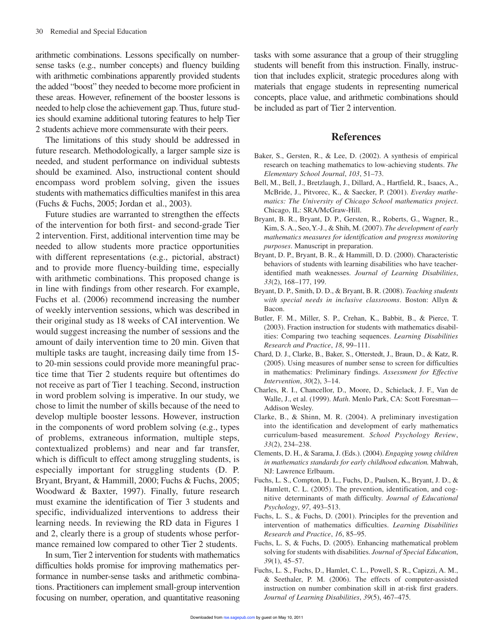arithmetic combinations. Lessons specifically on numbersense tasks (e.g., number concepts) and fluency building with arithmetic combinations apparently provided students the added "boost" they needed to become more proficient in these areas. However, refinement of the booster lessons is needed to help close the achievement gap. Thus, future studies should examine additional tutoring features to help Tier 2 students achieve more commensurate with their peers.

The limitations of this study should be addressed in future research. Methodologically, a larger sample size is needed, and student performance on individual subtests should be examined. Also, instructional content should encompass word problem solving, given the issues students with mathematics difficulties manifest in this area (Fuchs & Fuchs, 2005; Jordan et al., 2003).

Future studies are warranted to strengthen the effects of the intervention for both first- and second-grade Tier 2 intervention. First, additional intervention time may be needed to allow students more practice opportunities with different representations (e.g., pictorial, abstract) and to provide more fluency-building time, especially with arithmetic combinations. This proposed change is in line with findings from other research. For example, Fuchs et al. (2006) recommend increasing the number of weekly intervention sessions, which was described in their original study as 18 weeks of CAI intervention. We would suggest increasing the number of sessions and the amount of daily intervention time to 20 min. Given that multiple tasks are taught, increasing daily time from 15 to 20-min sessions could provide more meaningful practice time that Tier 2 students require but oftentimes do not receive as part of Tier 1 teaching. Second, instruction in word problem solving is imperative. In our study, we chose to limit the number of skills because of the need to develop multiple booster lessons. However, instruction in the components of word problem solving (e.g., types of problems, extraneous information, multiple steps, contextualized problems) and near and far transfer, which is difficult to effect among struggling students, is especially important for struggling students (D. P. Bryant, Bryant, & Hammill, 2000; Fuchs & Fuchs, 2005; Woodward & Baxter, 1997). Finally, future research must examine the identification of Tier 3 students and specific, individualized interventions to address their learning needs. In reviewing the RD data in Figures 1 and 2, clearly there is a group of students whose performance remained low compared to other Tier 2 students.

In sum, Tier 2 intervention for students with mathematics difficulties holds promise for improving mathematics performance in number-sense tasks and arithmetic combinations. Practitioners can implement small-group intervention focusing on number, operation, and quantitative reasoning

tasks with some assurance that a group of their struggling students will benefit from this instruction. Finally, instruction that includes explicit, strategic procedures along with materials that engage students in representing numerical concepts, place value, and arithmetic combinations should be included as part of Tier 2 intervention.

#### **References**

- Baker, S., Gersten, R., & Lee, D. (2002). A synthesis of empirical research on teaching mathematics to low-achieving students. *The Elementary School Journal*, *103*, 51–73.
- Bell, M., Bell, J., Bretzlaugh, J., Dillard, A., Hartfield, R., Isaacs, A., McBride, J., Pitvorec, K., & Saecker, P. (2001). *Everday mathematics: The University of Chicago School mathematics project*. Chicago, IL: SRA/McGraw-Hill.
- Bryant, B. R., Bryant, D. P., Gersten, R., Roberts, G., Wagner, R., Kim, S. A., Seo,Y.-J., & Shih, M. (2007). *The development of early mathematics measures for identification and progress monitoring purposes*. Manuscript in preparation.
- Bryant, D. P., Bryant, B. R., & Hammill, D. D. (2000). Characteristic behaviors of students with learning disabilities who have teacheridentified math weaknesses. *Journal of Learning Disabilities*, *33*(2), 168–177, 199.
- Bryant, D. P., Smith, D. D., & Bryant, B. R. (2008). *Teaching students with special needs in inclusive classrooms*. Boston: Allyn & Bacon.
- Butler, F. M., Miller, S. P., Crehan, K., Babbit, B., & Pierce, T. (2003). Fraction instruction for students with mathematics disabilities: Comparing two teaching sequences. *Learning Disabilities Research and Practice*, *18*, 99–111.
- Chard, D. J., Clarke, B., Baker, S., Otterstedt, J., Braun, D., & Katz, R. (2005). Using measures of number sense to screen for difficulties in mathematics: Preliminary findings. *Assessment for Effective Intervention*, *30*(2), 3–14.
- Charles, R. I., Chancellor, D., Moore, D., Schielack, J. F., Van de Walle, J., et al. (1999). *Math*. Menlo Park, CA: Scott Foresman— Addison Wesley.
- Clarke, B., & Shinn, M. R. (2004). A preliminary investigation into the identification and development of early mathematics curriculum-based measurement. *School Psychology Review*, *33*(2), 234–238.
- Clements, D. H., & Sarama, J. (Eds.). (2004). *Engaging young children in mathematics standards for early childhood education*. Mahwah, NJ: Lawrence Erlbaum.
- Fuchs, L. S., Compton, D. L., Fuchs, D., Paulsen, K., Bryant, J. D., & Hamlett, C. L. (2005). The prevention, identification, and cognitive determinants of math difficulty. *Journal of Educational Psychology*, *97*, 493–513.
- Fuchs, L. S., & Fuchs, D. (2001). Principles for the prevention and intervention of mathematics difficulties. *Learning Disabilities Research and Practice*, *16*, 85–95.
- Fuchs, L. S, & Fuchs, D. (2005). Enhancing mathematical problem solving for students with disabilities. *Journal of Special Education*, *39*(1), 45–57.
- Fuchs, L. S., Fuchs, D., Hamlet, C. L., Powell, S. R., Capizzi, A. M., & Seethaler, P. M. (2006). The effects of computer-assisted instruction on number combination skill in at-risk first graders. *Journal of Learning Disabilities*, *39*(5), 467–475.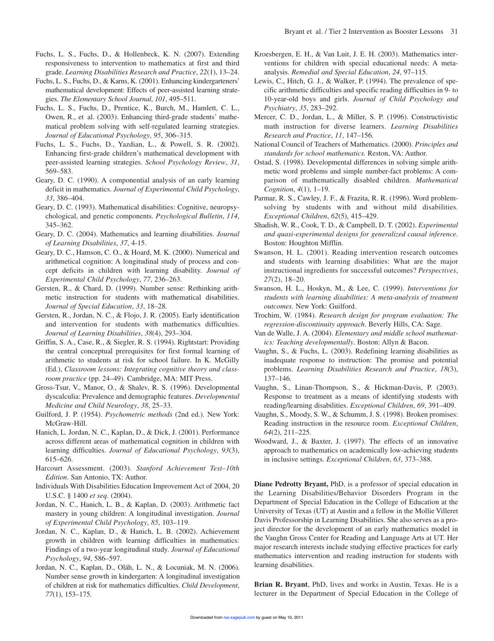- Fuchs, L. S., Fuchs, D., & Hollenbeck, K. N. (2007). Extending responsiveness to intervention to mathematics at first and third grade. *Learning Disabilities Research and Practice*, *22*(1), 13–24.
- Fuchs, L. S., Fuchs, D., & Karns, K. (2001). Enhancing kindergarteners' mathematical development: Effects of peer-assisted learning strategies. *The Elementary School Journal*, *101*, 495–511.
- Fuchs, L. S., Fuchs, D., Prentice, K., Burch, M., Hamlett, C. L., Owen, R., et al. (2003). Enhancing third-grade students' mathematical problem solving with self-regulated learning strategies. *Journal of Educational Psychology*, *95*, 306–315.
- Fuchs, L. S., Fuchs, D., Yazdian, L., & Powell, S. R. (2002). Enhancing first-grade children's mathematical development with peer-assisted learning strategies. *School Psychology Review*, *31*, 569–583.
- Geary, D. C. (1990). A componential analysis of an early learning deficit in mathematics. *Journal of Experimental Child Psychology*, *33*, 386–404.
- Geary, D. C. (1993). Mathematical disabilities: Cognitive, neuropsychological, and genetic components. *Psychological Bulletin*, *114*, 345–362.
- Geary, D. C. (2004). Mathematics and learning disabilities. *Journal of Learning Disabilities*, *37*, 4-15.
- Geary, D. C., Hamson, C. O., & Hoard, M. K. (2000). Numerical and arithmetical cognition: A longitudinal study of process and concept deficits in children with learning disability. *Journal of Experimental Child Psychology*, *77*, 236–263.
- Gersten, R., & Chard, D. (1999). Number sense: Rethinking arithmetic instruction for students with mathematical disabilities. *Journal of Special Education*, *33*, 18–28.
- Gersten, R., Jordan, N. C., & Flojo, J. R. (2005). Early identification and intervention for students with mathematics difficulties. *Journal of Learning Disabilities*, *38*(4), 293–304.
- Griffin, S. A., Case, R., & Siegler, R. S. (1994). Rightstart: Providing the central conceptual prerequisites for first formal learning of arithmetic to students at risk for school failure. In K. McGilly (Ed.), *Classroom lessons: Integrating cognitive theory and classroom practice* (pp. 24–49). Cambridge, MA: MIT Press.
- Gross-Tsur, V., Manor, O., & Shalev, R. S. (1996). Developmental dyscalculia: Prevalence and demographic features. *Developmental Medicine and Child Neurology*, *38*, 25–33.
- Guilford, J. P. (1954). *Psychometric methods* (2nd ed.). New York: McGraw-Hill.
- Hanich, L. Jordan, N. C., Kaplan, D., & Dick, J. (2001). Performance across different areas of mathematical cognition in children with learning difficulties. *Journal of Educational Psychology*, *93*(3), 615–626.
- Harcourt Assessment. (2003). *Stanford Achievement Test–10th Edition*. San Antonio, TX: Author.
- Individuals With Disabilities Education Improvement Act of 2004, 20 U.S.C. § 1400 *et seq*. (2004).
- Jordan, N. C., Hanich, L. B., & Kaplan, D. (2003). Arithmetic fact mastery in young children: A longitudinal investigation. *Journal of Experimental Child Psychology*, *85*, 103–119.
- Jordan, N. C., Kaplan, D., & Hanich, L. B. (2002). Achievement growth in children with learning difficulties in mathematics: Findings of a two-year longitudinal study. *Journal of Educational Psychology*, *94*, 586–597.
- Jordan, N. C., Kaplan, D., Oláh, L. N., & Locuniak, M. N. (2006). Number sense growth in kindergarten: A longitudinal investigation of children at risk for mathematics difficulties. *Child Development*, *77*(1), 153–175.
- Kroesbergen, E. H., & Van Luit, J. E. H. (2003). Mathematics interventions for children with special educational needs: A metaanalysis. *Remedial and Special Education*, *24*, 97–115.
- Lewis, C., Hitch, G. J., & Walker, P. (1994). The prevalence of specific arithmetic difficulties and specific reading difficulties in 9- to 10-year-old boys and girls. *Journal of Child Psychology and Psychiatry*, *35*, 283–292.
- Mercer, C. D., Jordan, L., & Miller, S. P. (1996). Constructivistic math instruction for diverse learners. *Learning Disabilities Research and Practice*, *11*, 147–156.
- National Council of Teachers of Mathematics. (2000). *Principles and standards for school mathematics.* Reston, VA: Author.
- Ostad, S. (1998). Developmental differences in solving simple arithmetic word problems and simple number-fact problems: A comparison of mathematically disabled children. *Mathematical Cognition*, *4*(1), 1–19.
- Parmar, R. S., Cawley, J. F., & Frazita, R. R. (1996). Word problemsolving by students with and without mild disabilities. *Exceptional Children*, *62*(5), 415–429.
- Shadish, W. R., Cook, T. D., & Campbell, D. T. (2002). *Experimental and quasi-experimental designs for generalized causal inference*. Boston: Houghton Mifflin.
- Swanson, H. L. (2001). Reading intervention research outcomes and students with learning disabilities: What are the major instructional ingredients for successful outcomes? *Perspectives*, *27*(2), 18–20.
- Swanson, H. L., Hoskyn, M., & Lee, C. (1999). *Interventions for students with learning disabilities: A meta-analysis of treatment outcomes.* New York: Guilford.
- Trochim, W. (1984). *Research design for program evaluation: The regression-discontinuity approach*. Beverly Hills, CA: Sage.
- Van de Walle, J. A. (2004). *Elementary and middle school mathematics: Teaching developmentally*. Boston: Allyn & Bacon.
- Vaughn, S., & Fuchs, L. (2003). Redefining learning disabilities as inadequate response to instruction: The promise and potential problems. *Learning Disabilities Research and Practice*, *18*(3), 137–146.
- Vaughn, S., Linan-Thompson, S., & Hickman-Davis, P. (2003). Response to treatment as a means of identifying students with reading/learning disabilities. *Exceptional Children*, *69*, 391–409.
- Vaughn, S., Moody, S. W., & Schumm, J. S. (1998). Broken promises: Reading instruction in the resource room. *Exceptional Children*, *64*(2), 211–225.
- Woodward, J., & Baxter, J. (1997). The effects of an innovative approach to mathematics on academically low-achieving students in inclusive settings. *Exceptional Children*, *63*, 373–388.

**Diane Pedrotty Bryant,** PhD, is a professor of special education in the Learning Disabilities/Behavior Disorders Program in the Department of Special Education in the College of Education at the University of Texas (UT) at Austin and a fellow in the Mollie Villeret Davis Professorship in Learning Disabilities. She also serves as a project director for the development of an early mathematics model in the Vaughn Gross Center for Reading and Language Arts at UT. Her major research interests include studying effective practices for early mathematics intervention and reading instruction for students with learning disabilities.

**Brian R. Bryant**, PhD, lives and works in Austin, Texas. He is a lecturer in the Department of Special Education in the College of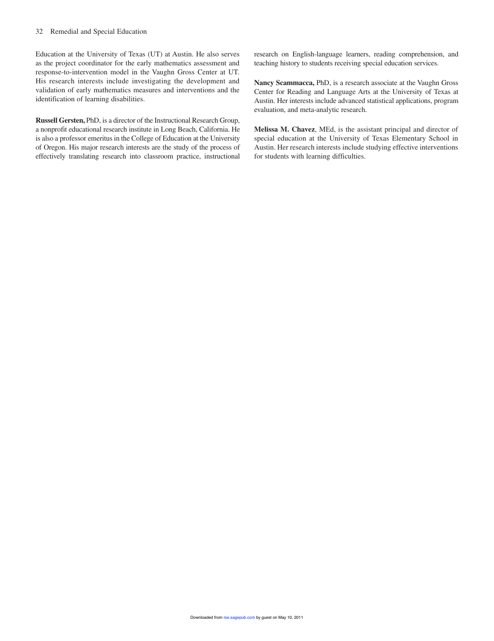#### 32 Remedial and Special Education

Education at the University of Texas (UT) at Austin. He also serves as the project coordinator for the early mathematics assessment and response-to-intervention model in the Vaughn Gross Center at UT. His research interests include investigating the development and validation of early mathematics measures and interventions and the identification of learning disabilities.

**Russell Gersten,** PhD, is a director of the Instructional Research Group, a nonprofit educational research institute in Long Beach, California. He is also a professor emeritus in the College of Education at the University of Oregon. His major research interests are the study of the process of effectively translating research into classroom practice, instructional research on English-language learners, reading comprehension, and teaching history to students receiving special education services.

**Nancy Scammacca,** PhD, is a research associate at the Vaughn Gross Center for Reading and Language Arts at the University of Texas at Austin. Her interests include advanced statistical applications, program evaluation, and meta-analytic research.

**Melissa M. Chavez**, MEd, is the assistant principal and director of special education at the University of Texas Elementary School in Austin. Her research interests include studying effective interventions for students with learning difficulties.